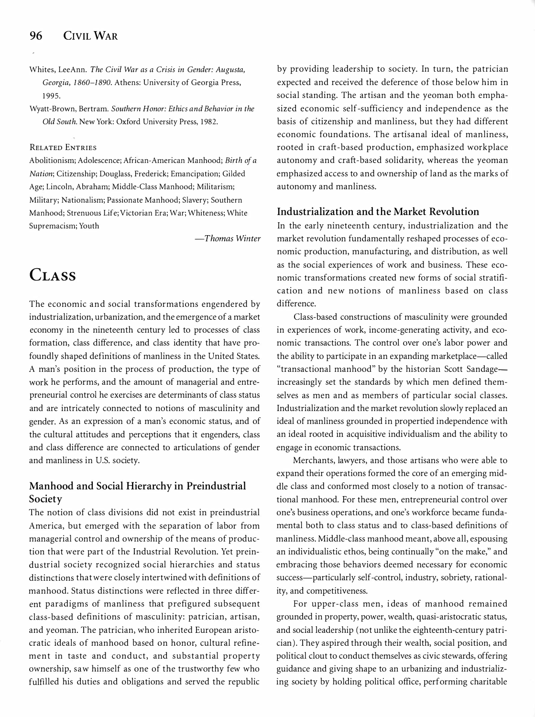- Whites, LeeAnn. The Civil War as a Crisis in Gender: Augusta, Georgia, 1 860-1 890. Athens: University of Georgia Press, 1 995.
- Wyatt-Brown, Bertram. Southern Honor: Ethics and Behavior in the Old South. New York: Oxford University Press, 1982.

#### RELATED ENTRIES

Abolitionism; Adolescence; African-American Manhood; Birth of a Nation; Citizenship; Douglass, Frederick; Emancipation; Gilded Age; Lincoln, Abraham; Middle-Class Manhood; Militarism; Military; Nationalism; Passionate Manhood; Slavery; Southern Manhood; Strenuous Life; Victorian Era; War; Whiteness; White Supremacism; Youth

 $-*Thomas Winter*$ 

# **CLASS**

The economic and social transformations engendered by industrialization, urbanization, and the emergence of a market economy in the nineteenth century led to processes of class formation, class difference, and class identity that have profoundly shaped definitions of manliness in the United States. A man's position in the process of production, the type of work he performs, and the amount of managerial and entrepreneurial control he exercises are determinants of class status and are intricately connected to notions of masculinity and gender. As an expression of a man's economic status, and of the cultural attitudes and perceptions that it engenders, class and class difference are connected to articulations of gender and manliness in U.S. society.

# Manhood and Social Hierarchy in Preindustrial **Society**

The notion of class divisions did not exist in preindustrial America, but emerged with the separation of labor from managerial control and ownership of the means of production that were part of the Industrial Revolution. Yet preindustrial society recognized social hierarchies and status distinctions that were closely intertwined with definitions of manhood. Status distinctions were reflected in three different paradigms of manliness that prefigured subsequent class-based definitions of masculinity: patrician, artisan, and yeoman. The patrician, who inherited European aristocratic ideals of manhood based on honor, cultural refinement in taste and conduct, and substantial property ownership, saw himself as one of the trustworthy few who fulfilled his duties and obligations and served the republic

by providing leadership to society. In turn, the patrician expected and received the deference of those below him in social standing. The artisan and the yeoman both emphasized economic self-sufficiency and independence as the basis of citizenship and manliness, but they had different economic foundations. The artisanal ideal of manliness, rooted in craft-based production, emphasized workplace autonomy and craft-based solidarity, whereas the yeoman emphasized access to and ownership of land as the marks of autonomy and manliness.

## Industrialization and the Market Revolution

In the early nineteenth century, industrialization and the market revolution fundamentally reshaped processes of economic production, manufacturing, and distribution, as well as the social experiences of work and business. These economic transformations created new forms of social stratification and new notions of manliness based on class difference.

Class-based constructions of masculinity were grounded in experiences of work, income-generating activity, and economic transactions. The control over one's labor power and the ability to participate in an expanding marketplace—called "transactional manhood" by the historian Scott Sandageincreasingly set the standards by which men defined themselves as men and as members of particular social classes. Industrialization and the market revolution slowly replaced an ideal of manliness grounded in propertied independence with an ideal rooted in acquisitive individualism and the ability to engage in economic transactions.

Merchants, lawyers, and those artisans who were able to expand their operations formed the core of an emerging middle class and conformed most closely to a notion of transactional manhood. For these men, entrepreneurial control over one's business operations, and one's workforce became fundamental both to class status and to class-based definitions of manliness. Middle-class manhood meant, above all, espousing an individualistic ethos, being continually "on the make," and embracing those behaviors deemed necessary for economic success-particularly self-control, industry, sobriety, rationality, and competitiveness.

For upper-class men, i deas of manhood remained grounded in property, power, wealth, quasi-aristocratic status, and social leadership (not unlike the eighteenth-century patrician). They aspired through their wealth, social position, and political clout to conduct themselves as civic stewards, offering guidance and giving shape to an urbanizing and industrializing society by holding political office, performing charitable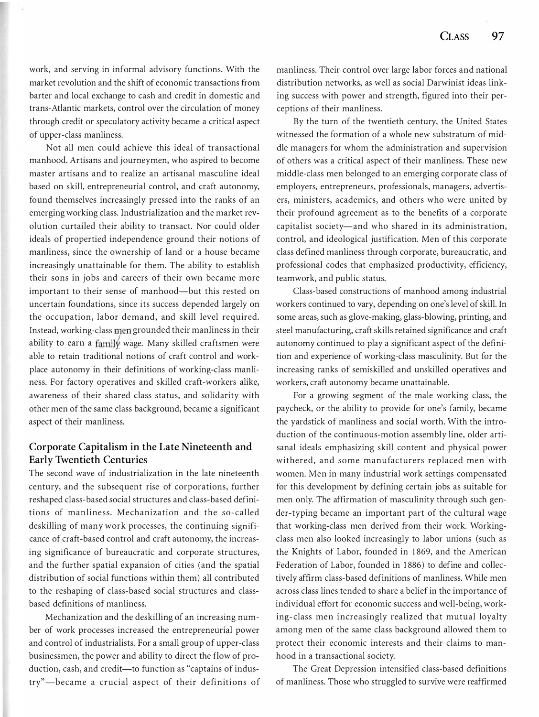work, and serving in informal advisory functions. With the market revolution and the shift of economic transactions from barter and local exchange to cash and credit in domestic and trans-Atlantic markets, control over the circulation of money through credit or speculatory activity became a critical aspect of upper-class manliness.

Not all men could achieve this ideal of transactional manhood. Artisans and journeymen, who aspired to become master artisans and to realize an artisanal masculine ideal based on skill, entrepreneurial control, and craft autonomy, found themselves increasingly pressed into the ranks of an emerging working class. Industrialization and the market revolution curtailed their ability to transact. Nor could older ideals of propertied independence ground their notions of manliness, since the ownership of land or a house became increasingly unattainable for them. The ability to establish their sons in jobs and careers of their own became more important to their sense of manhood-but this rested on uncertain foundations, since its success depended largely on the occupation, labor demand, and skill level required. Instead, working-class men grounded their manliness in their ability to earn a family wage. Many skilled craftsmen were able to retain traditional notions of craft control and workplace autonomy in their definitions of working-class manliness. For factory operatives and skilled craft-workers alike, awareness of their shared class status, and solidarity with other men of the same class background, became a significant aspect of their manliness.

# Corporate Capitalism in the Late Nineteenth and Early Twentieth Centuries

The second wave of industrialization in the late nineteenth century, and the subsequent rise of corporations, further reshaped class-based social structures and class-based definitions of manliness. Mechanization and the so-called deskilling of many work processes, the continuing significance of craft-based control and craft autonomy, the increasing significance of bureaucratic and corporate structures, and the further spatial expansion of cities (and the spatial distribution of social functions within them) all contributed to the reshaping of class-based social structures and classbased definitions of manliness.

Mechanization and the deskilling of an increasing number of work processes increased the entrepreneurial power and control of industrialists. For a small group of upper-class businessmen, the power and ability to direct the flow of production, cash, and credit-to function as "captains of industry" -became a crucial aspect of their definitions of manliness. Their control over large labor forces and national distribution networks, as well as social Darwinist ideas linking success with power and strength, figured into their perceptions of their manliness.

By the turn of the twentieth century, the United States witnessed the formation of a whole new substratum of middle managers for whom the administration and supervision of others was a critical aspect of their manliness. These new middle-class men belonged to an emerging corporate class of employers, entrepreneurs, professionals, managers, advertisers, ministers, academics, and others who were united by their profound agreement as to the benefits of a corporate capitalist society-and who shared in its administration, control, and ideological justification. Men of this corporate class defined manliness through corporate, bureaucratic, and professional codes that emphasized productivity, efficiency, teamwork, and public status.

Class-based constructions of manhood among industrial workers continued to vary, depending on one's level of skill. In some areas, such as glove-making, glass-blowing, printing, and steel manufacturing, craft skills retained significance and craft autonomy continued to play a significant aspect of the definition and experience of working-class masculinity. But for the increasing ranks of semiskilled and unskilled operatives and workers, craft autonomy became unattainable.

For a growing segment of the male working class, the paycheck, or the ability to provide for one's family, became the yardstick of manliness and social worth. With the introduction of the continuous-motion assembly line, older artisanal ideals emphasizing skill content and physical power withered, and some manufacturers replaced men with women. Men in many industrial work settings compensated for this development by defining certain jobs as suitable for men only. The affirmation of masculinity through such gender-typing became an important part of the cultural wage that working-class men derived from their work. Workingclass men also looked increasingly to labor unions (such as the Knights of Labor, founded in 1869, and the American Federation of Labor, founded in 1886) to define and collectively affirm class-based definitions of manliness. While men across class lines tended to share a belief in the importance of individual effort for economic success and well-being, working- class men increasingly realized that mutual loyalty among men of the same class background allowed them to protect their economic interests and their claims to manhood in a transactional society.

The Great Depression intensified class-based definitions of manliness. Those who struggled to survive were reaffirmed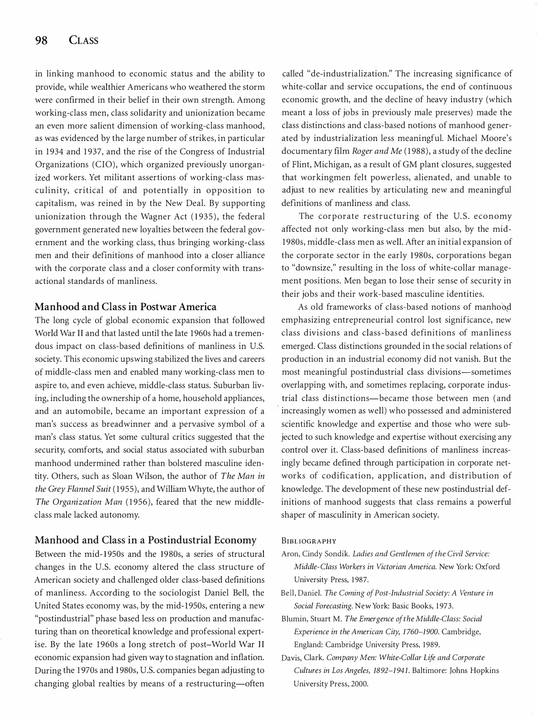in linking manhood to economic status and the ability to provide, while wealthier Americans who weathered the storm were confirmed in their belief in their own strength. Among working-class men, class solidarity and unionization became an even more salient dimension of working-class manhood, as was evidenced by the large number of strikes, in particular in 1934 and 1937, and the rise of the Congress of Industrial Organizations (CIO), which organized previously unorganized workers. Yet militant assertions of working-class masculinity, critical of and potentially in opposition to capitalism, was reined in by the New Deal. By supporting unionization through the Wagner Act (1935), the federal government generated new loyalties between the federal government and the working class, thus bringing working-class men and their definitions of manhood into a closer alliance with the corporate class and a closer conformity with transactional standards of manliness.

## Manhood and Class in Postwar America

The long cycle of global economic expansion that followed World War II and that lasted until the late 1960s had a tremendous impact on class-based definitions of manliness in U.S. society. This economic upswing stabilized the lives and careers of middle-class men and enabled many working-class men to aspire to, and even achieve, middle-class status. Suburban living, including the ownership of a home, household appliances, and an automobile, became an important expression of a man's success as breadwinner and a pervasive symbol of a man's class status. Yet some cultural critics suggested that the security, comforts, and social status associated with suburban manhood undermined rather than bolstered masculine identity. Others, such as Sloan Wilson, the author of The Man in the Grey Flannel Suit ( 1955), and William Whyte, the author of The Organization Man (1956), feared that the new middleclass male lacked autonomy.

#### Manhood and Class in a Postindustrial Economy

Between the mid-1950s and the 1980s, a series of structural changes in the U.S. economy altered the class structure of American society and challenged older class-based definitions of manliness. According to the sociologist Daniel Bell, the United States economy was, by the mid-1950s, entering a new "postindustrial" phase based less on production and manufacturing than on theoretical knowledge and professional expertise. By the late 1960s a long stretch of post-World War II economic expansion had given way to stagnation and inflation. During the 1970s and 1980s, U.S. companies began adjusting to changing global realties by means of a restructuring-often

called "de-industrialization." The increasing significance of white-collar and service occupations, the end of continuous economic growth, and the decline of heavy industry (which meant a loss of jobs in previously male preserves) made the class distinctions and class-based notions of manhood generated by industrialization less meaningful. Michael Moore's documentary film Roger and Me (1988), a study of the decline of Flint, Michigan, as a result of GM plant closures, suggested that workingmen felt powerless, alienated, and unable to adjust to new realities by articulating new and meaningful definitions of manliness and class.

The corporate restructuring of the U.S. economy affected not only working-class men but also, by the mid-1980s, middle-class men as well. After an initial expansion of the corporate sector in the early 1980s, corporations began to "downsize," resulting in the loss of white-collar management positions. Men began to lose their sense of security in their jobs and their work-based masculine identities.

As old frameworks of class-based notions of manhood emphasizing entrepreneurial control lost significance, new class divisions and class-based definitions of manliness emerged. Class distinctions grounded in the social relations of production in an industrial economy did not vanish. But the most meaningful postindustrial class divisions-sometimes overlapping with, and sometimes replacing, corporate industrial class distinctions-became those between men ( and increasingly women as well) who possessed and administered scientific knowledge and expertise and those who were subjected to such knowledge and expertise without exercising any control over it. Class-based definitions of manliness increasingly became defined through participation in corporate networks of codification, application, and distribution of knowledge. The development of these new postindustrial definitions of manhood suggests that class remains a powerful shaper of masculinity in American society.

#### BIBLIOGRAPHY

- Aron, Cindy Sondik. Ladies and Gentlemen of the Civil Service: Middle-Class Workers in Victorian America. New York: Oxford University Press, 1987.
- Bell, Daniel. The Coming of Post-Industrial Society: A Venture in Social Forecasting. New York: Basic Books, 1973.
- B1umin, Stuart M. The Emergence of the Middle-Class: Social Experience in the American City, 1760-1900. Cambridge, England: Cambridge University Press, 1989.
- Davis, Clark. Company Men: White-Collar Life and Corporate Cultures in Los Angeles, 1892-1941. Baltimore: Johns Hopkins University Press, 2000.